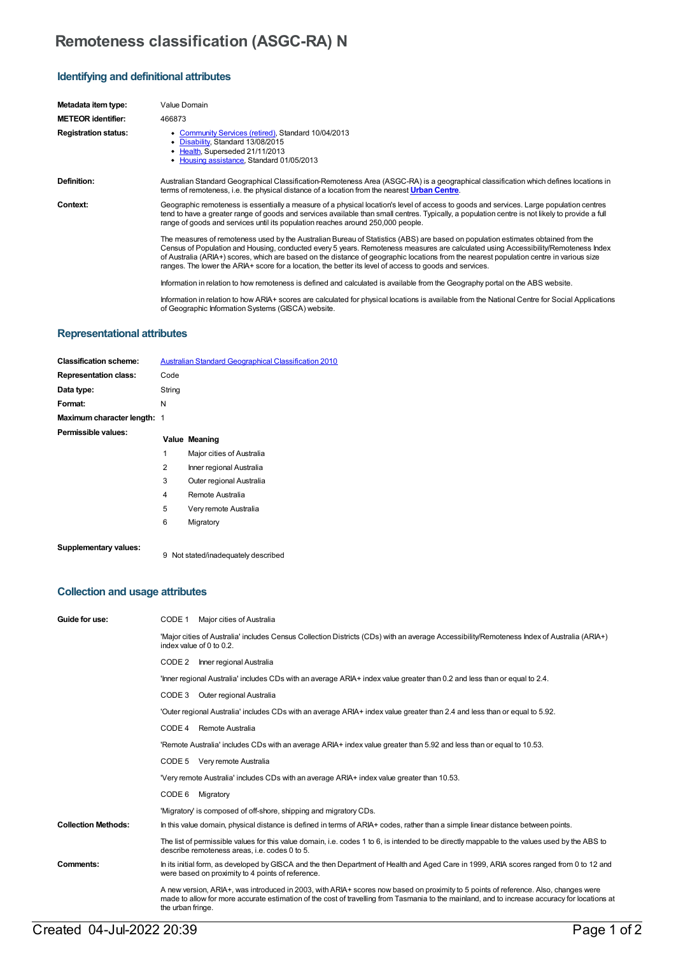# **Remoteness classification (ASGC-RA) N**

## **Identifying and definitional attributes**

| Metadata item type:         | Value Domain                                                                                                                                                                                                                                                                                                                                                                                                                                                                                                                 |
|-----------------------------|------------------------------------------------------------------------------------------------------------------------------------------------------------------------------------------------------------------------------------------------------------------------------------------------------------------------------------------------------------------------------------------------------------------------------------------------------------------------------------------------------------------------------|
| <b>METEOR</b> identifier:   | 466873                                                                                                                                                                                                                                                                                                                                                                                                                                                                                                                       |
| <b>Registration status:</b> | • Community Services (retired), Standard 10/04/2013<br>• Disability, Standard 13/08/2015<br>• Health, Superseded 21/11/2013<br>• Housing assistance, Standard 01/05/2013                                                                                                                                                                                                                                                                                                                                                     |
| Definition:                 | Australian Standard Geographical Classification-Remoteness Area (ASGC-RA) is a geographical classification which defines locations in<br>terms of remoteness, i.e. the physical distance of a location from the nearest Urban Centre.                                                                                                                                                                                                                                                                                        |
| Context:                    | Geographic remoteness is essentially a measure of a physical location's level of access to goods and services. Large population centres<br>tend to have a greater range of goods and services available than small centres. Typically, a population centre is not likely to provide a full<br>range of goods and services until its population reaches around 250,000 people.                                                                                                                                                |
|                             | The measures of remoteness used by the Australian Bureau of Statistics (ABS) are based on population estimates obtained from the<br>Census of Population and Housing, conducted every 5 years. Remoteness measures are calculated using Accessibility/Remoteness Index<br>of Australia (ARIA+) scores, which are based on the distance of geographic locations from the nearest population centre in various size<br>ranges. The lower the ARIA+ score for a location, the better its level of access to goods and services. |
|                             | Information in relation to how remoteness is defined and calculated is available from the Geography portal on the ABS website.                                                                                                                                                                                                                                                                                                                                                                                               |
|                             | Information in relation to how ARIA+ scores are calculated for physical locations is available from the National Centre for Social Applications<br>of Geographic Information Systems (GISCA) website.                                                                                                                                                                                                                                                                                                                        |

## **Representational attributes**

|        | <b>Australian Standard Geographical Classification 2010</b> |
|--------|-------------------------------------------------------------|
| Code   |                                                             |
| String |                                                             |
| N      |                                                             |
|        |                                                             |
|        | Value Meaning                                               |
| 1      | Major cities of Australia                                   |
| 2      | Inner regional Australia                                    |
| 3      | Outer regional Australia                                    |
| 4      | Remote Australia                                            |
| 5      | Very remote Australia                                       |
| 6      | Migratory                                                   |
|        |                                                             |
|        | Maximum character length: 1                                 |

**Supplementary values:** <sup>9</sup> Not stated/inadequately described

## **Collection and usage attributes**

| Guide for use:             | CODE 1<br>Major cities of Australia                                                                                                                                                                                                                                                                       |  |  |  |
|----------------------------|-----------------------------------------------------------------------------------------------------------------------------------------------------------------------------------------------------------------------------------------------------------------------------------------------------------|--|--|--|
|                            | 'Major cities of Australia' includes Census Collection Districts (CDs) with an average Accessibility/Remoteness Index of Australia (ARIA+)<br>index value of $0$ to $0.2$ .                                                                                                                               |  |  |  |
|                            | CODE 2<br>Inner regional Australia                                                                                                                                                                                                                                                                        |  |  |  |
|                            | l'inner regional Australia' includes CDs with an average ARIA+ index value greater than 0.2 and less than or equal to 2.4.                                                                                                                                                                                |  |  |  |
|                            | Outer regional Australia<br>CODE 3                                                                                                                                                                                                                                                                        |  |  |  |
|                            | 'Outer regional Australia' includes CDs with an average ARIA+ index value greater than 2.4 and less than or equal to 5.92.                                                                                                                                                                                |  |  |  |
|                            | CODE 4<br>Remote Australia                                                                                                                                                                                                                                                                                |  |  |  |
|                            | 'Remote Australia' includes CDs with an average ARIA+ index value greater than 5.92 and less than or equal to 10.53.                                                                                                                                                                                      |  |  |  |
|                            | CODE 5 Very remote Australia                                                                                                                                                                                                                                                                              |  |  |  |
|                            | "Very remote Australia" includes CDs with an average ARIA+ index value greater than 10.53.                                                                                                                                                                                                                |  |  |  |
|                            | CODE 6<br>Migratory                                                                                                                                                                                                                                                                                       |  |  |  |
|                            | 'Migratory' is composed of off-shore, shipping and migratory CDs.                                                                                                                                                                                                                                         |  |  |  |
| <b>Collection Methods:</b> | In this value domain, physical distance is defined in terms of ARIA+ codes, rather than a simple linear distance between points.                                                                                                                                                                          |  |  |  |
|                            | The list of permissible values for this value domain, i.e. codes 1 to 6, is intended to be directly mappable to the values used by the ABS to<br>describe remoteness areas, i.e. codes 0 to 5.                                                                                                            |  |  |  |
| Comments:                  | In its initial form, as developed by GISCA and the then Department of Health and Aged Care in 1999, ARIA scores ranged from 0 to 12 and<br>were based on proximity to 4 points of reference.                                                                                                              |  |  |  |
|                            | A new version, ARIA+, was introduced in 2003, with ARIA+ scores now based on proximity to 5 points of reference. Also, changes were<br>made to allow for more accurate estimation of the cost of travelling from Tasmania to the mainland, and to increase accuracy for locations at<br>the urban fringe. |  |  |  |